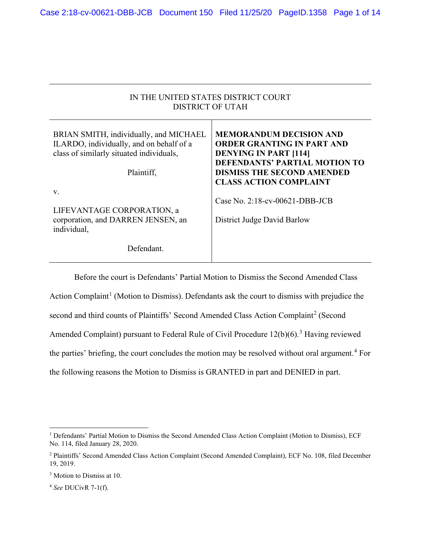| IN THE UNITED STATES DISTRICT COURT<br>DISTRICT OF UTAH                                                                                      |                                                                                                                                                                                                            |
|----------------------------------------------------------------------------------------------------------------------------------------------|------------------------------------------------------------------------------------------------------------------------------------------------------------------------------------------------------------|
| BRIAN SMITH, individually, and MICHAEL<br>ILARDO, individually, and on behalf of a<br>class of similarly situated individuals,<br>Plaintiff, | <b>MEMORANDUM DECISION AND</b><br>ORDER GRANTING IN PART AND<br><b>DENYING IN PART [114]</b><br><b>DEFENDANTS' PARTIAL MOTION TO</b><br><b>DISMISS THE SECOND AMENDED</b><br><b>CLASS ACTION COMPLAINT</b> |
| V.<br>LIFEVANTAGE CORPORATION, a<br>corporation, and DARREN JENSEN, an<br>individual,<br>Defendant.                                          | Case No. $2:18$ -cv-00621-DBB-JCB<br>District Judge David Barlow                                                                                                                                           |

Before the court is Defendants' Partial Motion to Dismiss the Second Amended Class Action Complaint<sup>1</sup> (Motion to Dismiss). Defendants ask the court to dismiss with prejudice the

second and third counts of Plaintiffs' Second Amended Class Action Complaint<sup>2</sup> (Second

Amended Complaint) pursuant to Federal Rule of Civil Procedure  $12(b)(6)$ .<sup>3</sup> Having reviewed

the parties' briefing, the court concludes the motion may be resolved without oral argument.<sup>4</sup> For

the following reasons the Motion to Dismiss is GRANTED in part and DENIED in part.

<sup>4</sup> *See* DUCivR 7-1(f).

<sup>&</sup>lt;sup>1</sup> Defendants' Partial Motion to Dismiss the Second Amended Class Action Complaint (Motion to Dismiss), ECF No. 114, filed January 28, 2020.

<sup>2</sup> Plaintiffs' Second Amended Class Action Complaint (Second Amended Complaint), ECF No. 108, filed December 19, 2019.

<sup>3</sup> Motion to Dismiss at 10.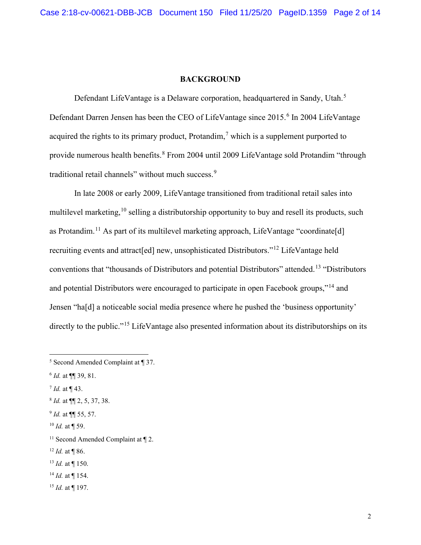#### **BACKGROUND**

Defendant LifeVantage is a Delaware corporation, headquartered in Sandy, Utah.<sup>5</sup> Defendant Darren Jensen has been the CEO of LifeVantage since 2015. <sup>6</sup> In 2004 LifeVantage acquired the rights to its primary product, Protandim,<sup>7</sup> which is a supplement purported to provide numerous health benefits.<sup>8</sup> From 2004 until 2009 LifeVantage sold Protandim "through traditional retail channels" without much success.<sup>9</sup>

In late 2008 or early 2009, LifeVantage transitioned from traditional retail sales into multilevel marketing, <sup>10</sup> selling a distributorship opportunity to buy and resell its products, such as Protandim.<sup>11</sup> As part of its multilevel marketing approach, LifeVantage "coordinate[d] recruiting events and attract[ed] new, unsophisticated Distributors."<sup>12</sup> LifeVantage held conventions that "thousands of Distributors and potential Distributors" attended.<sup>13</sup> "Distributors and potential Distributors were encouraged to participate in open Facebook groups,"<sup>14</sup> and Jensen "ha[d] a noticeable social media presence where he pushed the 'business opportunity' directly to the public."<sup>15</sup> LifeVantage also presented information about its distributorships on its

- <sup>7</sup> *Id.* at ¶ 43.
- <sup>8</sup> *Id.* at ¶¶ 2, 5, 37, 38.
- <sup>9</sup> *Id.* at ¶¶ 55, 57.
- <sup>10</sup> *Id.* at ¶ 59.

- <sup>13</sup> *Id.* at ¶ 150.
- <sup>14</sup> *Id.* at ¶ 154.
- <sup>15</sup> *Id.* at ¶ 197.

<sup>5</sup> Second Amended Complaint at ¶ 37.

<sup>6</sup> *Id.* at ¶¶ 39, 81.

<sup>&</sup>lt;sup>11</sup> Second Amended Complaint at  $\P$  2.

<sup>12</sup> *Id.* at ¶ 86.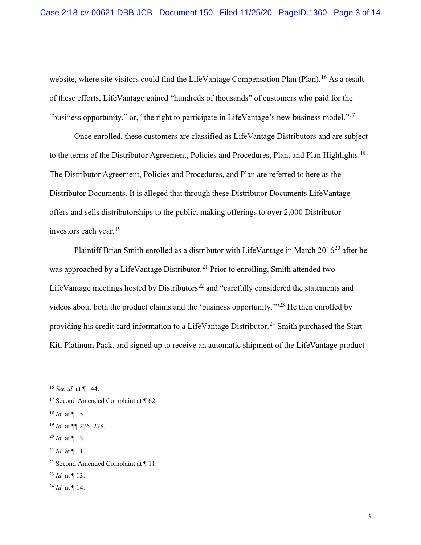website, where site visitors could find the LifeVantage Compensation Plan (Plan).<sup>16</sup> As a result of these efforts, LifeVantage gained "hundreds of thousands" of customers who paid for the "business opportunity," or, "the right to participate in LifeVantage's new business model."<sup>17</sup>

Once enrolled, these customers are classified as LifeVantage Distributors and are subject to the terms of the Distributor Agreement, Policies and Procedures, Plan, and Plan Highlights.<sup>18</sup> The Distributor Agreement, Policies and Procedures, and Plan are referred to here as the Distributor Documents. It is alleged that through these Distributor Documents LifeVantage offers and sells distributorships to the public, making offerings to over 2,000 Distributor investors each year. $^{19}$ 

Plaintiff Brian Smith enrolled as a distributor with LifeVantage in March 2016<sup>20</sup> after he was approached by a LifeVantage Distributor.<sup>21</sup> Prior to enrolling, Smith attended two LifeVantage meetings hosted by Distributors<sup>22</sup> and "carefully considered the statements and videos about both the product claims and the 'business opportunity.'"<sup>23</sup> He then enrolled by providing his credit card information to a LifeVantage Distributor.<sup>24</sup> Smith purchased the Start Kit, Platinum Pack, and signed up to receive an automatic shipment of the LifeVantage product

<sup>16</sup> *See id.* at ¶ 144.

<sup>&</sup>lt;sup>17</sup> Second Amended Complaint at  $\P$  62.

 $^{18}$  *Id.* at ¶ 15.

<sup>19</sup> *Id.* at ¶¶ 276, 278.

<sup>20</sup> *Id.* at ¶ 13.

 $^{21}$  *Id.* at ¶ 11.

<sup>&</sup>lt;sup>22</sup> Second Amended Complaint at  $\P$  11.

<sup>23</sup> *Id.* at ¶ 13.

<sup>24</sup> *Id.* at ¶ 14.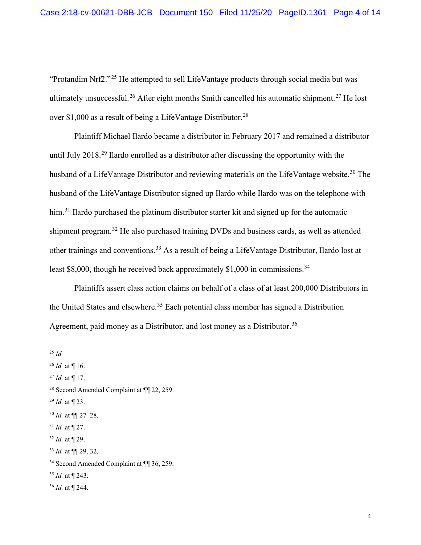"Protandim Nrf2."<sup>25</sup> He attempted to sell LifeVantage products through social media but was ultimately unsuccessful.<sup>26</sup> After eight months Smith cancelled his automatic shipment.<sup>27</sup> He lost over \$1,000 as a result of being a LifeVantage Distributor.<sup>28</sup>

Plaintiff Michael Ilardo became a distributor in February 2017 and remained a distributor until July 2018<sup>29</sup> Ilardo enrolled as a distributor after discussing the opportunity with the husband of a LifeVantage Distributor and reviewing materials on the LifeVantage website.<sup>30</sup> The husband of the LifeVantage Distributor signed up Ilardo while Ilardo was on the telephone with him.<sup>31</sup> Ilardo purchased the platinum distributor starter kit and signed up for the automatic shipment program.<sup>32</sup> He also purchased training DVDs and business cards, as well as attended other trainings and conventions.<sup>33</sup> As a result of being a LifeVantage Distributor, Ilardo lost at least \$8,000, though he received back approximately  $$1,000$  in commissions.<sup>34</sup>

Plaintiffs assert class action claims on behalf of a class of at least 200,000 Distributors in the United States and elsewhere.<sup>35</sup> Each potential class member has signed a Distribution Agreement, paid money as a Distributor, and lost money as a Distributor.<sup>36</sup>

<sup>25</sup> *Id.*

- <sup>29</sup> *Id.* at ¶ 23.
- <sup>30</sup> *Id.* at ¶¶ 27–28.
- <sup>31</sup> *Id.* at ¶ 27.
- <sup>32</sup> *Id.* at ¶ 29.
- <sup>33</sup> *Id.* at ¶¶ 29, 32.

- <sup>35</sup> *Id.* at ¶ 243.
- <sup>36</sup> *Id.* at ¶ 244.

<sup>26</sup> *Id.* at ¶ 16.

<sup>27</sup> *Id.* at ¶ 17.

<sup>28</sup> Second Amended Complaint at ¶¶ 22, 259.

<sup>34</sup> Second Amended Complaint at ¶¶ 36, 259.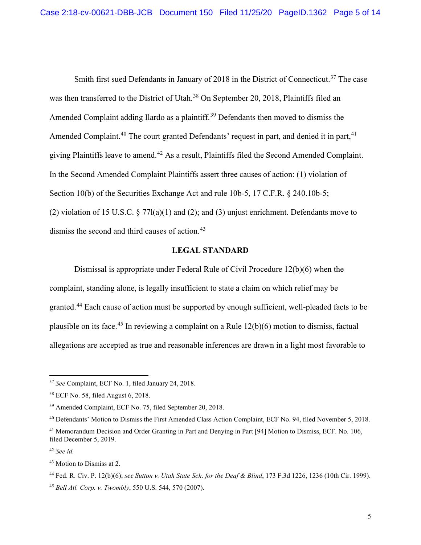Smith first sued Defendants in January of 2018 in the District of Connecticut.<sup>37</sup> The case was then transferred to the District of Utah.<sup>38</sup> On September 20, 2018, Plaintiffs filed an Amended Complaint adding Ilardo as a plaintiff.<sup>39</sup> Defendants then moved to dismiss the Amended Complaint.<sup>40</sup> The court granted Defendants' request in part, and denied it in part,<sup>41</sup> giving Plaintiffs leave to amend.<sup>42</sup> As a result, Plaintiffs filed the Second Amended Complaint. In the Second Amended Complaint Plaintiffs assert three causes of action: (1) violation of Section 10(b) of the Securities Exchange Act and rule 10b-5, 17 C.F.R. § 240.10b-5; (2) violation of 15 U.S.C.  $\S 77l(a)(1)$  and (2); and (3) unjust enrichment. Defendants move to dismiss the second and third causes of action. 43

## **LEGAL STANDARD**

Dismissal is appropriate under Federal Rule of Civil Procedure 12(b)(6) when the complaint, standing alone, is legally insufficient to state a claim on which relief may be granted.<sup>44</sup> Each cause of action must be supported by enough sufficient, well-pleaded facts to be plausible on its face.<sup>45</sup> In reviewing a complaint on a Rule  $12(b)(6)$  motion to dismiss, factual allegations are accepted as true and reasonable inferences are drawn in a light most favorable to

<sup>37</sup> *See* Complaint, ECF No. 1, filed January 24, 2018.

<sup>38</sup> ECF No. 58, filed August 6, 2018.

<sup>39</sup> Amended Complaint, ECF No. 75, filed September 20, 2018.

<sup>40</sup> Defendants' Motion to Dismiss the First Amended Class Action Complaint, ECF No. 94, filed November 5, 2018.

<sup>&</sup>lt;sup>41</sup> Memorandum Decision and Order Granting in Part and Denying in Part [94] Motion to Dismiss, ECF. No. 106, filed December 5, 2019.

<sup>42</sup> *See id.*

<sup>43</sup> Motion to Dismiss at 2.

<sup>44</sup> Fed. R. Civ. P. 12(b)(6); *see Sutton v. Utah State Sch. for the Deaf & Blind*, 173 F.3d 1226, 1236 (10th Cir. 1999). <sup>45</sup> *Bell Atl. Corp. v. Twombly*, 550 U.S. 544, 570 (2007).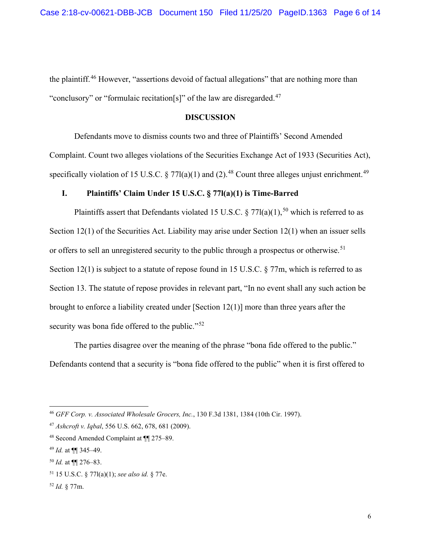the plaintiff.<sup>46</sup> However, "assertions devoid of factual allegations" that are nothing more than "conclusory" or "formulaic recitation[s]" of the law are disregarded.<sup>47</sup>

#### **DISCUSSION**

Defendants move to dismiss counts two and three of Plaintiffs' Second Amended Complaint. Count two alleges violations of the Securities Exchange Act of 1933 (Securities Act), specifically violation of 15 U.S.C.  $\S 77l(a)(1)$  and (2).<sup>48</sup> Count three alleges unjust enrichment.<sup>49</sup>

# **I. Plaintiffs' Claim Under 15 U.S.C. § 77l(a)(1) is Time-Barred**

Plaintiffs assert that Defendants violated 15 U.S.C. § 77l(a)(1),<sup>50</sup> which is referred to as Section 12(1) of the Securities Act. Liability may arise under Section 12(1) when an issuer sells or offers to sell an unregistered security to the public through a prospectus or otherwise.<sup>51</sup> Section 12(1) is subject to a statute of repose found in 15 U.S.C. § 77m, which is referred to as Section 13. The statute of repose provides in relevant part, "In no event shall any such action be brought to enforce a liability created under [Section 12(1)] more than three years after the security was bona fide offered to the public."<sup>52</sup>

The parties disagree over the meaning of the phrase "bona fide offered to the public." Defendants contend that a security is "bona fide offered to the public" when it is first offered to

<sup>46</sup> *GFF Corp. v. Associated Wholesale Grocers, Inc.*, 130 F.3d 1381, 1384 (10th Cir. 1997).

<sup>47</sup> *Ashcroft v. Iqbal*, 556 U.S. 662, 678, 681 (2009).

<sup>48</sup> Second Amended Complaint at ¶¶ 275–89.

<sup>49</sup> *Id.* at ¶¶ 345–49.

<sup>50</sup> *Id.* at ¶¶ 276–83.

<sup>51</sup> 15 U.S.C. § 77l(a)(1); *see also id.* § 77e.

<sup>52</sup> *Id.* § 77m.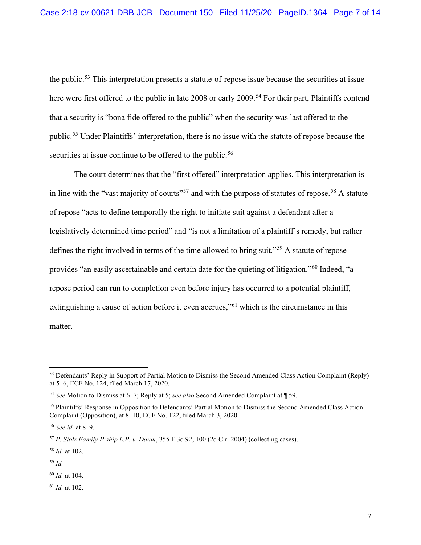the public.<sup>53</sup> This interpretation presents a statute-of-repose issue because the securities at issue here were first offered to the public in late 2008 or early 2009.<sup>54</sup> For their part, Plaintiffs contend that a security is "bona fide offered to the public" when the security was last offered to the public.<sup>55</sup> Under Plaintiffs' interpretation, there is no issue with the statute of repose because the securities at issue continue to be offered to the public.<sup>56</sup>

The court determines that the "first offered" interpretation applies. This interpretation is in line with the "vast majority of courts"<sup>57</sup> and with the purpose of statutes of repose.<sup>58</sup> A statute of repose "acts to define temporally the right to initiate suit against a defendant after a legislatively determined time period" and "is not a limitation of a plaintiff's remedy, but rather defines the right involved in terms of the time allowed to bring suit."<sup>59</sup> A statute of repose provides "an easily ascertainable and certain date for the quieting of litigation."<sup>60</sup> Indeed, "a repose period can run to completion even before injury has occurred to a potential plaintiff, extinguishing a cause of action before it even accrues,"<sup>61</sup> which is the circumstance in this matter.

<sup>59</sup> *Id.*

<sup>60</sup> *Id.* at 104.

<sup>61</sup> *Id.* at 102.

<sup>&</sup>lt;sup>53</sup> Defendants' Reply in Support of Partial Motion to Dismiss the Second Amended Class Action Complaint (Reply) at 5–6, ECF No. 124, filed March 17, 2020.

<sup>54</sup> *See* Motion to Dismiss at 6–7; Reply at 5; *see also* Second Amended Complaint at ¶ 59.

<sup>55</sup> Plaintiffs' Response in Opposition to Defendants' Partial Motion to Dismiss the Second Amended Class Action Complaint (Opposition), at 8–10, ECF No. 122, filed March 3, 2020.

<sup>56</sup> *See id.* at 8–9.

<sup>57</sup> *P. Stolz Family P'ship L.P. v. Daum*, 355 F.3d 92, 100 (2d Cir. 2004) (collecting cases).

<sup>58</sup> *Id.* at 102.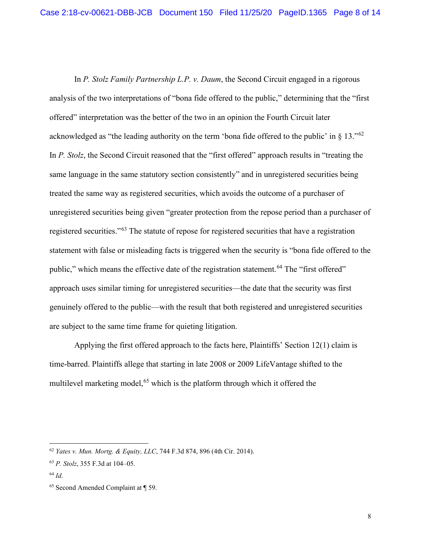In *P. Stolz Family Partnership L.P. v. Daum*, the Second Circuit engaged in a rigorous analysis of the two interpretations of "bona fide offered to the public," determining that the "first offered" interpretation was the better of the two in an opinion the Fourth Circuit later acknowledged as "the leading authority on the term 'bona fide offered to the public' in  $\S$  13."<sup>62</sup> In *P. Stolz*, the Second Circuit reasoned that the "first offered" approach results in "treating the same language in the same statutory section consistently" and in unregistered securities being treated the same way as registered securities, which avoids the outcome of a purchaser of unregistered securities being given "greater protection from the repose period than a purchaser of registered securities."<sup>63</sup> The statute of repose for registered securities that have a registration statement with false or misleading facts is triggered when the security is "bona fide offered to the public," which means the effective date of the registration statement.<sup>64</sup> The "first offered" approach uses similar timing for unregistered securities—the date that the security was first genuinely offered to the public—with the result that both registered and unregistered securities are subject to the same time frame for quieting litigation.

Applying the first offered approach to the facts here, Plaintiffs' Section 12(1) claim is time-barred. Plaintiffs allege that starting in late 2008 or 2009 LifeVantage shifted to the multilevel marketing model,<sup>65</sup> which is the platform through which it offered the

<sup>62</sup> *Yates v. Mun. Mortg. & Equity, LLC*, 744 F.3d 874, 896 (4th Cir. 2014).

<sup>63</sup> *P. Stolz*, 355 F.3d at 104–05.

<sup>64</sup> *Id.*

<sup>65</sup> Second Amended Complaint at ¶ 59.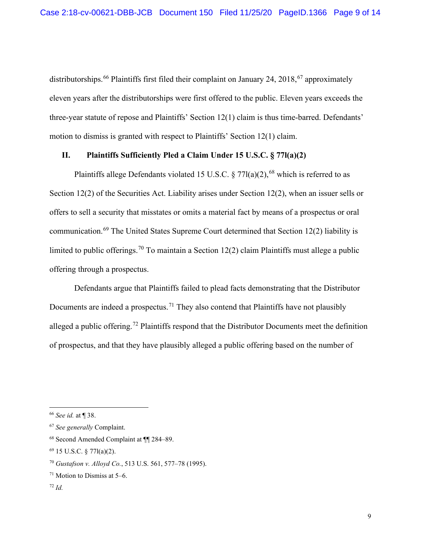distributorships.<sup>66</sup> Plaintiffs first filed their complaint on January 24, 2018,<sup>67</sup> approximately eleven years after the distributorships were first offered to the public. Eleven years exceeds the three-year statute of repose and Plaintiffs' Section 12(1) claim is thus time-barred. Defendants' motion to dismiss is granted with respect to Plaintiffs' Section 12(1) claim.

## **II. Plaintiffs Sufficiently Pled a Claim Under 15 U.S.C. § 77l(a)(2)**

Plaintiffs allege Defendants violated 15 U.S.C.  $\S 77l(a)(2)$ , <sup>68</sup> which is referred to as Section 12(2) of the Securities Act. Liability arises under Section 12(2), when an issuer sells or offers to sell a security that misstates or omits a material fact by means of a prospectus or oral communication.<sup>69</sup> The United States Supreme Court determined that Section 12(2) liability is limited to public offerings.<sup>70</sup> To maintain a Section 12(2) claim Plaintiffs must allege a public offering through a prospectus.

Defendants argue that Plaintiffs failed to plead facts demonstrating that the Distributor Documents are indeed a prospectus.<sup>71</sup> They also contend that Plaintiffs have not plausibly alleged a public offering.<sup>72</sup> Plaintiffs respond that the Distributor Documents meet the definition of prospectus, and that they have plausibly alleged a public offering based on the number of

<sup>72</sup> *Id.*

<sup>66</sup> *See id.* at ¶ 38.

<sup>67</sup> *See generally* Complaint.

<sup>68</sup> Second Amended Complaint at ¶¶ 284–89.

<sup>69</sup> 15 U.S.C. § 77l(a)(2).

<sup>70</sup> *Gustafson v. Alloyd Co.*, 513 U.S. 561, 577–78 (1995).

 $71$  Motion to Dismiss at 5–6.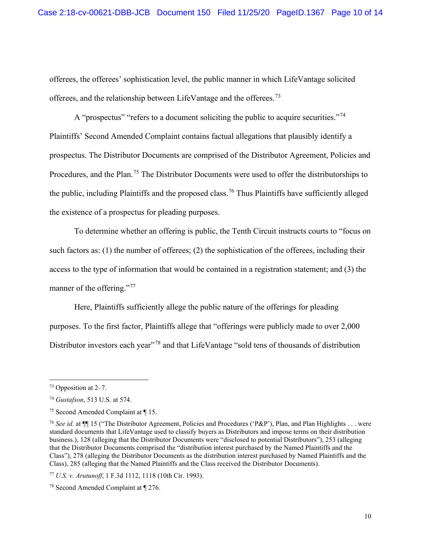offerees, the offerees' sophistication level, the public manner in which LifeVantage solicited offerees, and the relationship between LifeVantage and the offerees.<sup>73</sup>

A "prospectus" "refers to a document soliciting the public to acquire securities."<sup>74</sup> Plaintiffs' Second Amended Complaint contains factual allegations that plausibly identify a prospectus. The Distributor Documents are comprised of the Distributor Agreement, Policies and Procedures, and the Plan.<sup>75</sup> The Distributor Documents were used to offer the distributorships to the public, including Plaintiffs and the proposed class.<sup>76</sup> Thus Plaintiffs have sufficiently alleged the existence of a prospectus for pleading purposes.

To determine whether an offering is public, the Tenth Circuit instructs courts to "focus on such factors as: (1) the number of offerees; (2) the sophistication of the offerees, including their access to the type of information that would be contained in a registration statement; and (3) the manner of the offering."<sup>77</sup>

Here, Plaintiffs sufficiently allege the public nature of the offerings for pleading purposes. To the first factor, Plaintiffs allege that "offerings were publicly made to over 2,000 Distributor investors each year"<sup>78</sup> and that LifeVantage "sold tens of thousands of distribution

<sup>73</sup> Opposition at 2–7.

<sup>74</sup> *Gustafson*, 513 U.S. at 574.

<sup>75</sup> Second Amended Complaint at ¶ 15.

<sup>76</sup> *See id.* at ¶¶ 15 ("The Distributor Agreement, Policies and Procedures ('P&P'), Plan, and Plan Highlights . . . were standard documents that LifeVantage used to classify buyers as Distributors and impose terms on their distribution business.), 128 (alleging that the Distributor Documents were "disclosed to potential Distributors"), 253 (alleging that the Distributor Documents comprised the "distribution interest purchased by the Named Plaintiffs and the Class"), 278 (alleging the Distributor Documents as the distribution interest purchased by Named Plaintiffs and the Class), 285 (alleging that the Named Plaintiffs and the Class received the Distributor Documents).

<sup>77</sup> *U.S. v. Arutunoff*, 1 F.3d 1112, 1118 (10th Cir. 1993).

<sup>78</sup> Second Amended Complaint at ¶ 276.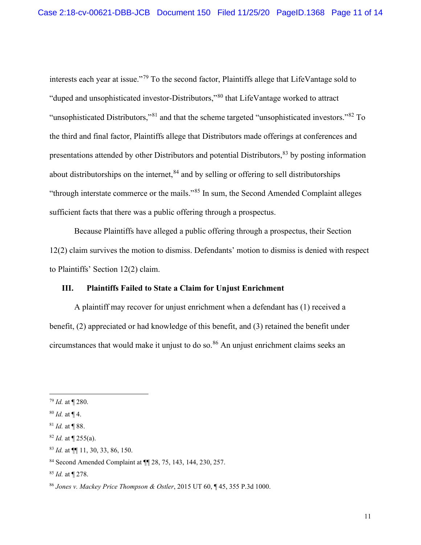interests each year at issue."<sup>79</sup> To the second factor, Plaintiffs allege that LifeVantage sold to "duped and unsophisticated investor-Distributors,"<sup>80</sup> that LifeVantage worked to attract "unsophisticated Distributors,"<sup>81</sup> and that the scheme targeted "unsophisticated investors."<sup>82</sup> To the third and final factor, Plaintiffs allege that Distributors made offerings at conferences and presentations attended by other Distributors and potential Distributors,<sup>83</sup> by posting information about distributorships on the internet,  $84$  and by selling or offering to sell distributorships "through interstate commerce or the mails."<sup>85</sup> In sum, the Second Amended Complaint alleges sufficient facts that there was a public offering through a prospectus.

Because Plaintiffs have alleged a public offering through a prospectus, their Section 12(2) claim survives the motion to dismiss. Defendants' motion to dismiss is denied with respect to Plaintiffs' Section 12(2) claim.

# **III. Plaintiffs Failed to State a Claim for Unjust Enrichment**

A plaintiff may recover for unjust enrichment when a defendant has (1) received a benefit, (2) appreciated or had knowledge of this benefit, and (3) retained the benefit under circumstances that would make it unjust to do so.<sup>86</sup> An unjust enrichment claims seeks an

<sup>79</sup> *Id.* at ¶ 280.

<sup>80</sup> *Id.* at ¶ 4.

<sup>81</sup> *Id.* at ¶ 88.

<sup>82</sup> *Id.* at ¶ 255(a).

<sup>83</sup> *Id.* at ¶¶ 11, 30, 33, 86, 150.

<sup>84</sup> Second Amended Complaint at ¶¶ 28, 75, 143, 144, 230, 257.

<sup>85</sup> *Id.* at ¶ 278.

<sup>86</sup> *Jones v. Mackey Price Thompson & Ostler*, 2015 UT 60, ¶ 45, 355 P.3d 1000.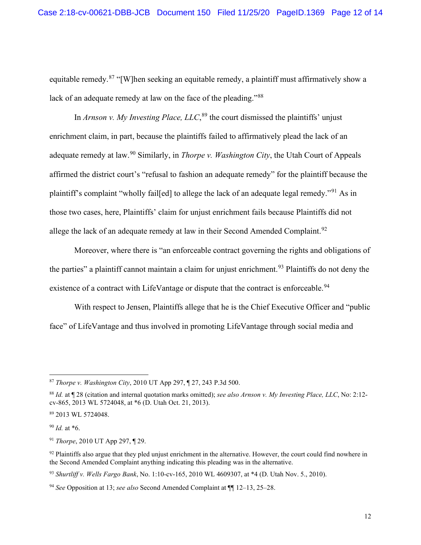equitable remedy.<sup>87</sup> "[W]hen seeking an equitable remedy, a plaintiff must affirmatively show a lack of an adequate remedy at law on the face of the pleading."<sup>88</sup>

In *Arnson v. My Investing Place, LLC*, <sup>89</sup> the court dismissed the plaintiffs' unjust enrichment claim, in part, because the plaintiffs failed to affirmatively plead the lack of an adequate remedy at law.<sup>90</sup> Similarly, in *Thorpe v. Washington City*, the Utah Court of Appeals affirmed the district court's "refusal to fashion an adequate remedy" for the plaintiff because the plaintiff's complaint "wholly fail[ed] to allege the lack of an adequate legal remedy."<sup>91</sup> As in those two cases, here, Plaintiffs' claim for unjust enrichment fails because Plaintiffs did not allege the lack of an adequate remedy at law in their Second Amended Complaint.<sup>92</sup>

Moreover, where there is "an enforceable contract governing the rights and obligations of the parties" a plaintiff cannot maintain a claim for unjust enrichment.<sup>93</sup> Plaintiffs do not deny the existence of a contract with LifeVantage or dispute that the contract is enforceable.<sup>94</sup>

With respect to Jensen, Plaintiffs allege that he is the Chief Executive Officer and "public face" of LifeVantage and thus involved in promoting LifeVantage through social media and

<sup>93</sup> *Shurtliff v. Wells Fargo Bank*, No. 1:10-cv-165, 2010 WL 4609307, at \*4 (D. Utah Nov. 5., 2010).

<sup>87</sup> *Thorpe v. Washington City*, 2010 UT App 297, ¶ 27, 243 P.3d 500.

<sup>88</sup> *Id.* at ¶ 28 (citation and internal quotation marks omitted); *see also Arnson v. My Investing Place, LLC*, No: 2:12 cv-865, 2013 WL 5724048, at \*6 (D. Utah Oct. 21, 2013).

<sup>89</sup> 2013 WL 5724048.

<sup>90</sup> *Id.* at \*6.

<sup>91</sup> *Thorpe*, 2010 UT App 297, ¶ 29.

 $92$  Plaintiffs also argue that they pled unjust enrichment in the alternative. However, the court could find nowhere in the Second Amended Complaint anything indicating this pleading was in the alternative.

<sup>94</sup> *See* Opposition at 13; *see also* Second Amended Complaint at ¶¶ 12–13, 25–28.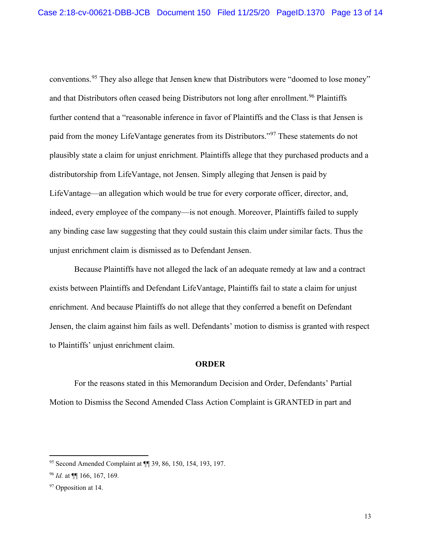conventions.<sup>95</sup> They also allege that Jensen knew that Distributors were "doomed to lose money" and that Distributors often ceased being Distributors not long after enrollment.<sup>96</sup> Plaintiffs further contend that a "reasonable inference in favor of Plaintiffs and the Class is that Jensen is paid from the money LifeVantage generates from its Distributors."<sup>97</sup> These statements do not plausibly state a claim for unjust enrichment. Plaintiffs allege that they purchased products and a distributorship from LifeVantage, not Jensen. Simply alleging that Jensen is paid by LifeVantage—an allegation which would be true for every corporate officer, director, and, indeed, every employee of the company—is not enough. Moreover, Plaintiffs failed to supply any binding case law suggesting that they could sustain this claim under similar facts. Thus the unjust enrichment claim is dismissed as to Defendant Jensen.

Because Plaintiffs have not alleged the lack of an adequate remedy at law and a contract exists between Plaintiffs and Defendant LifeVantage, Plaintiffs fail to state a claim for unjust enrichment. And because Plaintiffs do not allege that they conferred a benefit on Defendant Jensen, the claim against him fails as well. Defendants' motion to dismiss is granted with respect to Plaintiffs' unjust enrichment claim.

## **ORDER**

For the reasons stated in this Memorandum Decision and Order, Defendants' Partial Motion to Dismiss the Second Amended Class Action Complaint is GRANTED in part and

<sup>95</sup> Second Amended Complaint at ¶¶ 39, 86, 150, 154, 193, 197.

<sup>96</sup> *Id.* at ¶¶ 166, 167, 169.

<sup>&</sup>lt;sup>97</sup> Opposition at 14.